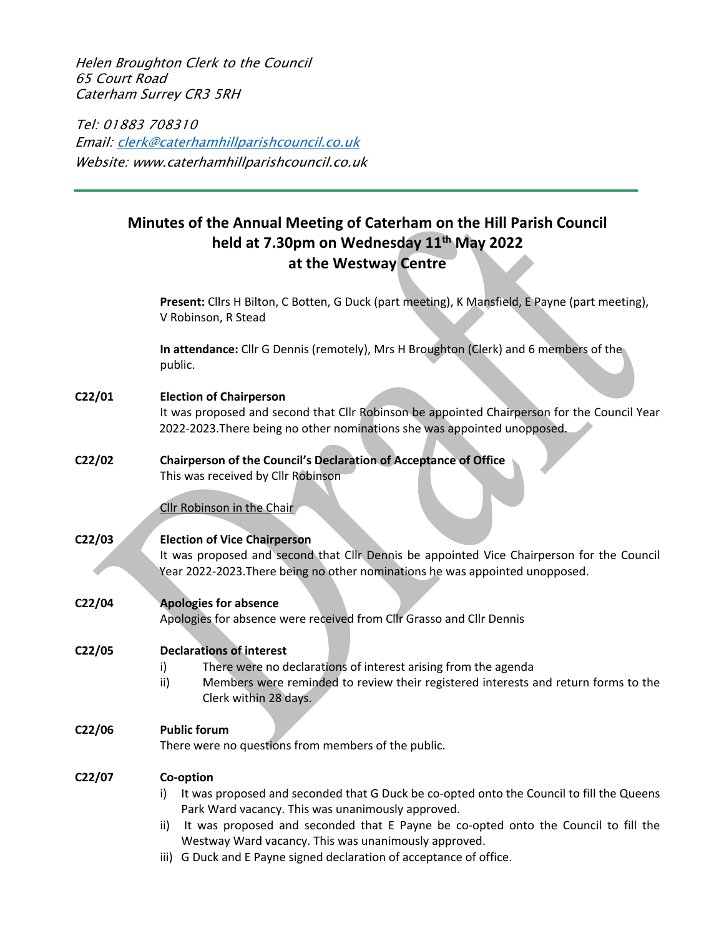Helen Broughton Clerk to the Council 65 Court Road Caterham Surrey CR3 5RH

Tel: 01883 708310 Email: clerk@caterhamhillparishcouncil.co.uk Website: www.caterhamhillparishcouncil.co.uk

# **Minutes of the Annual Meeting of Caterham on the Hill Parish Council held at 7.30pm on Wednesday 11th May 2022 at the Westway Centre**

**Present:** Cllrs H Bilton, C Botten, G Duck (part meeting), K Mansfield, E Payne (part meeting), V Robinson, R Stead

**In attendance:** Cllr G Dennis (remotely), Mrs H Broughton (Clerk) and 6 members of the public.

**C22/01 Election of Chairperson**

It was proposed and second that Cllr Robinson be appointed Chairperson for the Council Year 2022-2023.There being no other nominations she was appointed unopposed.

#### **C22/02 Chairperson of the Council's Declaration of Acceptance of Office** This was received by Cllr Robinson

Cllr Robinson in the Chair

## **C22/03 Election of Vice Chairperson**

It was proposed and second that Cllr Dennis be appointed Vice Chairperson for the Council Year 2022-2023.There being no other nominations he was appointed unopposed.

## **C22/04 Apologies for absence**

Apologies for absence were received from Cllr Grasso and Cllr Dennis

## **C22/05 Declarations of interest**

- i) There were no declarations of interest arising from the agenda
- ii) Members were reminded to review their registered interests and return forms to the Clerk within 28 days.

# **C22/06 Public forum**

There were no questions from members of the public.

# **C22/07 Co-option**

- i) It was proposed and seconded that G Duck be co-opted onto the Council to fill the Queens Park Ward vacancy. This was unanimously approved.
- ii) It was proposed and seconded that E Payne be co-opted onto the Council to fill the Westway Ward vacancy. This was unanimously approved.
- iii) G Duck and E Payne signed declaration of acceptance of office.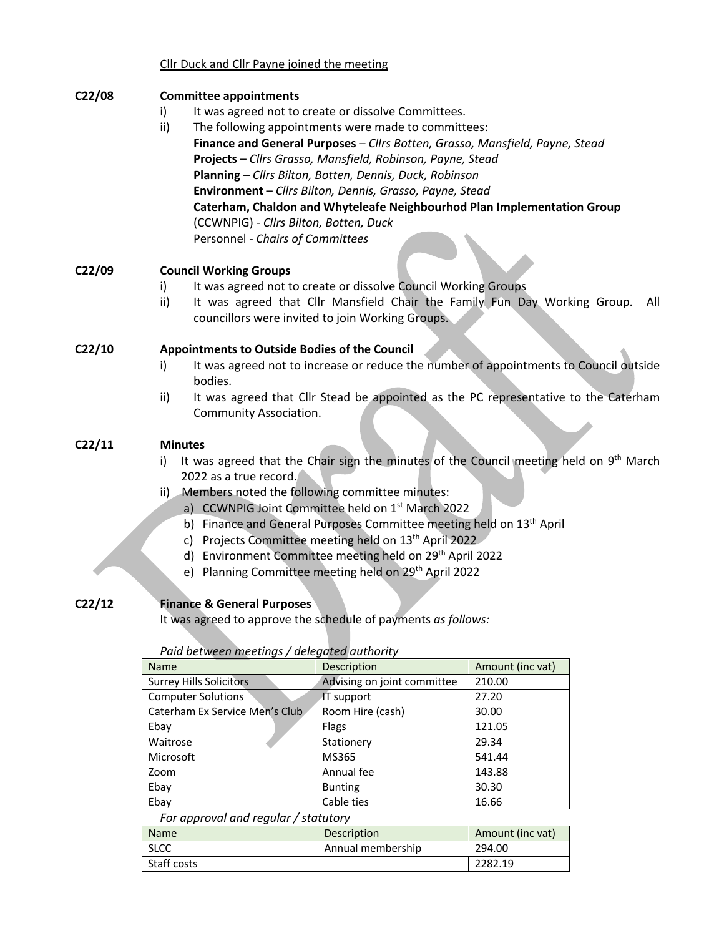#### Cllr Duck and Cllr Payne joined the meeting

#### **C22/08 Committee appointments**

- i) It was agreed not to create or dissolve Committees.
- ii) The following appointments were made to committees: **Finance and General Purposes** – *Cllrs Botten, Grasso, Mansfield, Payne, Stead* **Projects** – *Cllrs Grasso, Mansfield, Robinson, Payne, Stead* **Planning** – *Cllrs Bilton, Botten, Dennis, Duck, Robinson* **Environment** – *Cllrs Bilton, Dennis, Grasso, Payne, Stead* **Caterham, Chaldon and Whyteleafe Neighbourhod Plan Implementation Group** (CCWNPIG) - *Cllrs Bilton, Botten, Duck* Personnel - *Chairs of Committees*

#### **C22/09 Council Working Groups**

- i) It was agreed not to create or dissolve Council Working Groups
- ii) It was agreed that Cllr Mansfield Chair the Family Fun Day Working Group. All councillors were invited to join Working Groups.

#### **C22/10 Appointments to Outside Bodies of the Council**

- i) It was agreed not to increase or reduce the number of appointments to Council outside bodies.
- ii) It was agreed that Cllr Stead be appointed as the PC representative to the Caterham Community Association.

#### **C22/11 Minutes**

- i) It was agreed that the Chair sign the minutes of the Council meeting held on  $9<sup>th</sup>$  March 2022 as a true record.
- ii) Members noted the following committee minutes:
	- a) CCWNPIG Joint Committee held on 1<sup>st</sup> March 2022
	- b) Finance and General Purposes Committee meeting held on 13<sup>th</sup> April
	- c) Projects Committee meeting held on 13<sup>th</sup> April 2022
	- d) Environment Committee meeting held on 29th April 2022
	- e) Planning Committee meeting held on 29<sup>th</sup> April 2022

## **C22/12 Finance & General Purposes**

It was agreed to approve the schedule of payments *as follows:*

| <b>Name</b>                    | Description                 | Amount (inc vat) |
|--------------------------------|-----------------------------|------------------|
| <b>Surrey Hills Solicitors</b> | Advising on joint committee | 210.00           |
| <b>Computer Solutions</b>      | <b>IT</b> support           | 27.20            |
| Caterham Ex Service Men's Club | Room Hire (cash)            | 30.00            |
| Ebay                           | Flags                       | 121.05           |
| Waitrose                       | Stationery                  | 29.34            |
| Microsoft                      | MS365                       | 541.44           |
| Zoom                           | Annual fee                  | 143.88           |
| Ebay                           | <b>Bunting</b>              | 30.30            |
| Ebay                           | Cable ties                  | 16.66            |
|                                |                             |                  |

#### *For approval and regular / statutory*

| <b>Name</b> | Description       | Amount (inc vat) |
|-------------|-------------------|------------------|
| <b>SLCC</b> | Annual membership | 294.00           |
| Staff costs |                   | 2282.19          |